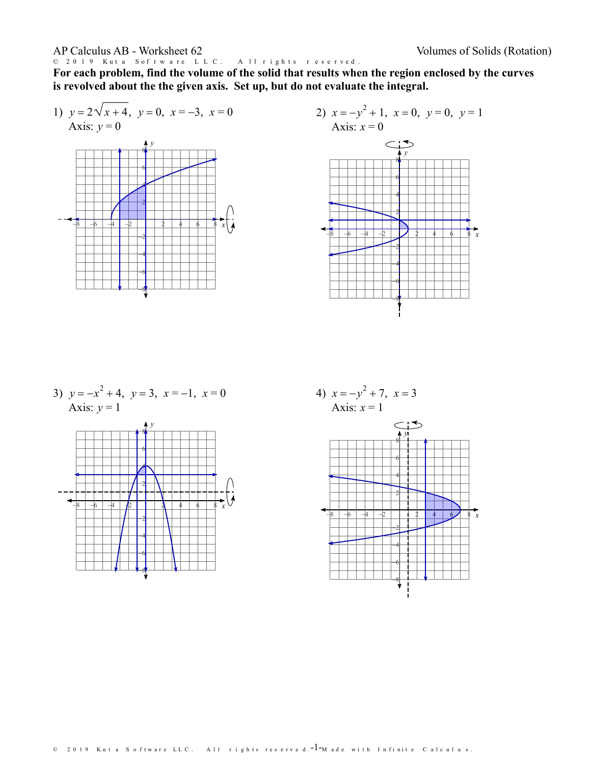© 2019 Kuta Software LLC. All rights reserved.

**For each problem, find the volume of the solid that results when the region enclosed by the curves is revolved about the the given axis. Set up,but do not evaluate the integral.**

1)  $y = 2\sqrt{x+4}, y=0, x=-3, x=0$ Axis:  $y = 0$ 





3)  $y = -x^2 + 4$ ,  $y = 3$ ,  $x = -1$ ,  $x = 0$  4) x Axis:  $y = 1$ *y* 6 8<mark>4</mark> - 1 - 1 - 1 - 1 - 1 - 1





© 2019 Kuta Software LLC. All rights reserved. $-1$ –Made with Infinite Calculus.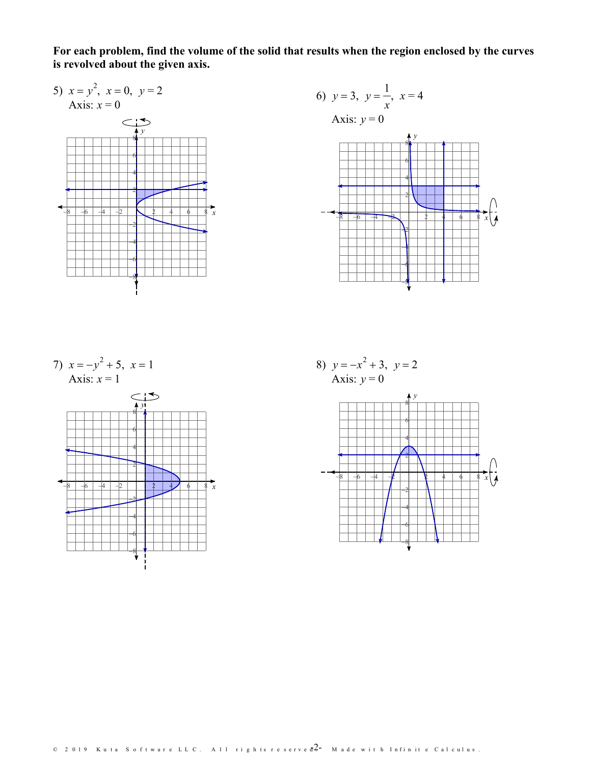**For each problem, find the volume of the solid that results when the region enclosed by the curves is revolved about the given axis.**

*x*

5)  $x = y^2$ ,  $x = 0$ ,  $y = 2$ Axis:  $x = 0$  $\subset$ :5 *y* 8 THTT  $\overline{6}$  , and the set of  $\overline{6}$ 4<del>. . . . . . . . . . .</del> 2  $-8$   $-6$   $-4$   $-2$   $\bigvee$  2 4 6 8 x -8-6-4-2





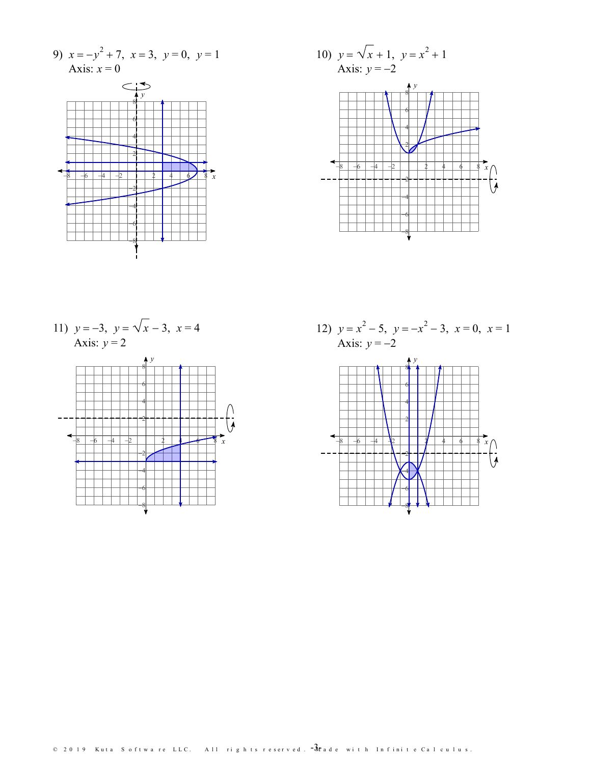9)  $x = -y^2 + 7$ ,  $x = 3$ ,  $y = 0$ ,  $y = 1$ <br>Axis:  $x = 0$